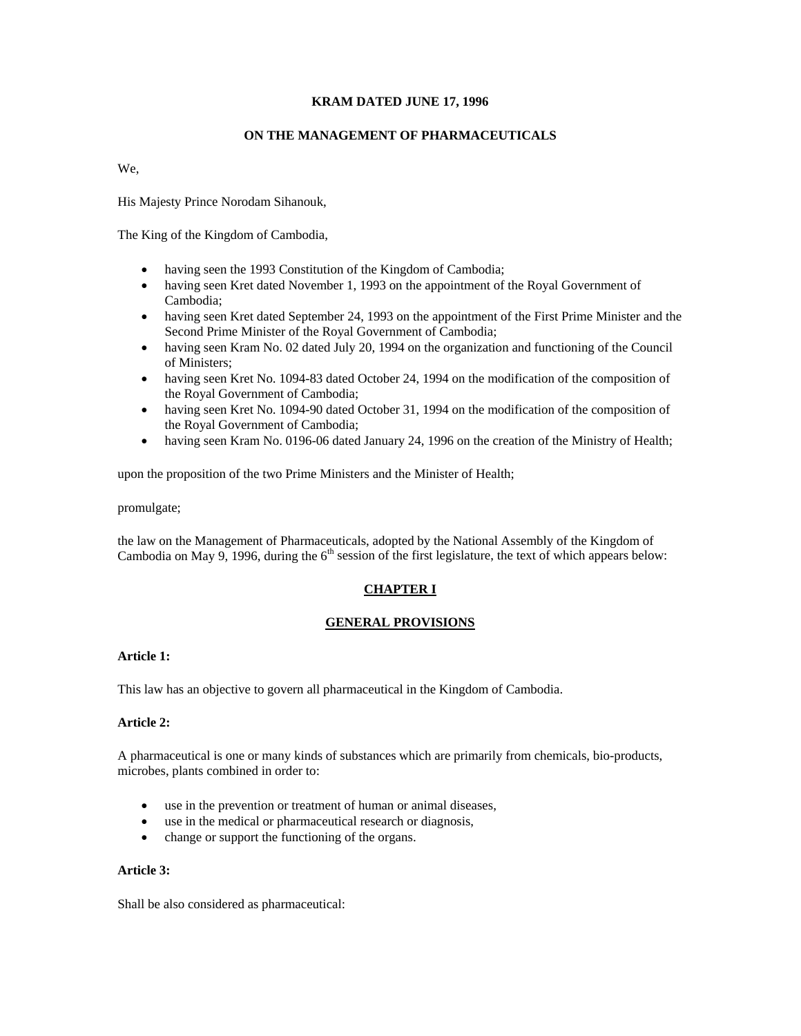# **KRAM DATED JUNE 17, 1996**

# **ON THE MANAGEMENT OF PHARMACEUTICALS**

We,

His Majesty Prince Norodam Sihanouk,

The King of the Kingdom of Cambodia,

- having seen the 1993 Constitution of the Kingdom of Cambodia;
- having seen Kret dated November 1, 1993 on the appointment of the Royal Government of Cambodia;
- having seen Kret dated September 24, 1993 on the appointment of the First Prime Minister and the Second Prime Minister of the Royal Government of Cambodia;
- having seen Kram No. 02 dated July 20, 1994 on the organization and functioning of the Council of Ministers;
- having seen Kret No. 1094-83 dated October 24, 1994 on the modification of the composition of the Royal Government of Cambodia;
- having seen Kret No. 1094-90 dated October 31, 1994 on the modification of the composition of the Royal Government of Cambodia;
- having seen Kram No. 0196-06 dated January 24, 1996 on the creation of the Ministry of Health;

upon the proposition of the two Prime Ministers and the Minister of Health;

promulgate;

the law on the Management of Pharmaceuticals, adopted by the National Assembly of the Kingdom of Cambodia on May 9, 1996, during the  $6<sup>th</sup>$  session of the first legislature, the text of which appears below:

# **CHAPTER I**

# **GENERAL PROVISIONS**

# **Article 1:**

This law has an objective to govern all pharmaceutical in the Kingdom of Cambodia.

# **Article 2:**

A pharmaceutical is one or many kinds of substances which are primarily from chemicals, bio-products, microbes, plants combined in order to:

- use in the prevention or treatment of human or animal diseases,
- use in the medical or pharmaceutical research or diagnosis,
- change or support the functioning of the organs.

# **Article 3:**

Shall be also considered as pharmaceutical: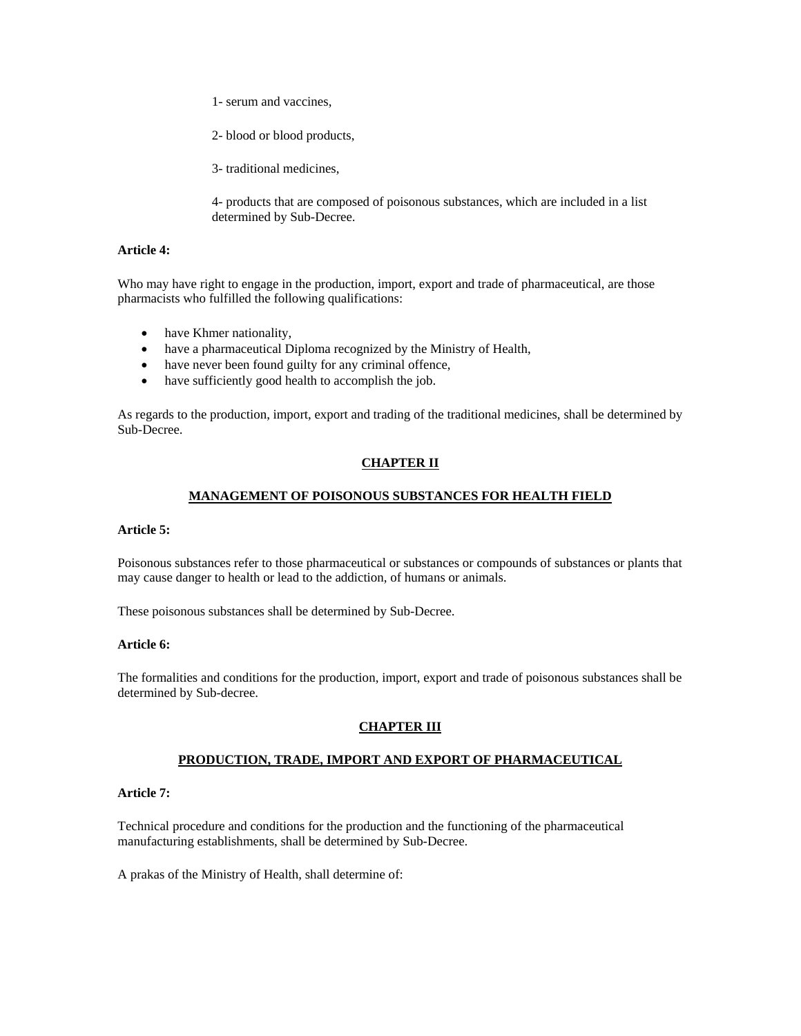1- serum and vaccines,

2- blood or blood products,

3- traditional medicines,

4- products that are composed of poisonous substances, which are included in a list determined by Sub-Decree.

### **Article 4:**

Who may have right to engage in the production, import, export and trade of pharmaceutical, are those pharmacists who fulfilled the following qualifications:

- have Khmer nationality,
- have a pharmaceutical Diploma recognized by the Ministry of Health,
- have never been found guilty for any criminal offence,
- have sufficiently good health to accomplish the job.

As regards to the production, import, export and trading of the traditional medicines, shall be determined by Sub-Decree.

# **CHAPTER II**

# **MANAGEMENT OF POISONOUS SUBSTANCES FOR HEALTH FIELD**

#### **Article 5:**

Poisonous substances refer to those pharmaceutical or substances or compounds of substances or plants that may cause danger to health or lead to the addiction, of humans or animals.

These poisonous substances shall be determined by Sub-Decree.

#### **Article 6:**

The formalities and conditions for the production, import, export and trade of poisonous substances shall be determined by Sub-decree.

# **CHAPTER III**

# **PRODUCTION, TRADE, IMPORT AND EXPORT OF PHARMACEUTICAL**

### **Article 7:**

Technical procedure and conditions for the production and the functioning of the pharmaceutical manufacturing establishments, shall be determined by Sub-Decree.

A prakas of the Ministry of Health, shall determine of: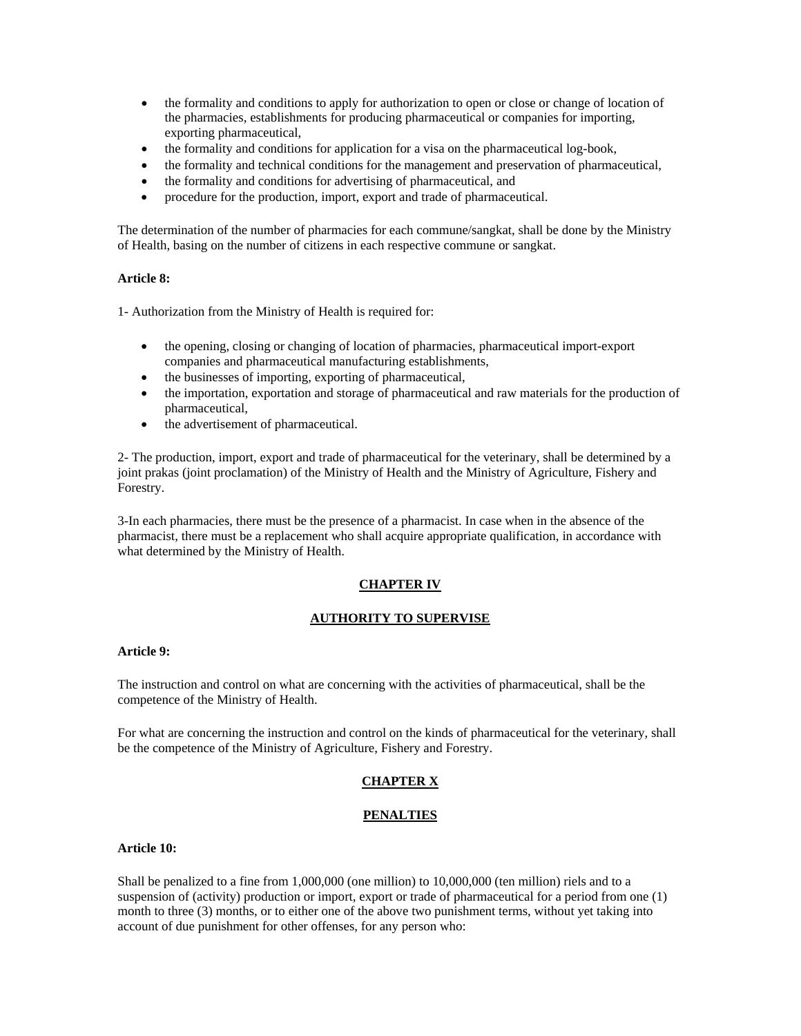- the formality and conditions to apply for authorization to open or close or change of location of the pharmacies, establishments for producing pharmaceutical or companies for importing, exporting pharmaceutical,
- the formality and conditions for application for a visa on the pharmaceutical log-book,
- the formality and technical conditions for the management and preservation of pharmaceutical,
- the formality and conditions for advertising of pharmaceutical, and
- procedure for the production, import, export and trade of pharmaceutical.

The determination of the number of pharmacies for each commune/sangkat, shall be done by the Ministry of Health, basing on the number of citizens in each respective commune or sangkat.

#### **Article 8:**

1- Authorization from the Ministry of Health is required for:

- the opening, closing or changing of location of pharmacies, pharmaceutical import-export companies and pharmaceutical manufacturing establishments,
- the businesses of importing, exporting of pharmaceutical,
- the importation, exportation and storage of pharmaceutical and raw materials for the production of pharmaceutical,
- the advertisement of pharmaceutical.

2- The production, import, export and trade of pharmaceutical for the veterinary, shall be determined by a joint prakas (joint proclamation) of the Ministry of Health and the Ministry of Agriculture, Fishery and Forestry.

3-In each pharmacies, there must be the presence of a pharmacist. In case when in the absence of the pharmacist, there must be a replacement who shall acquire appropriate qualification, in accordance with what determined by the Ministry of Health.

# **CHAPTER IV**

# **AUTHORITY TO SUPERVISE**

## **Article 9:**

The instruction and control on what are concerning with the activities of pharmaceutical, shall be the competence of the Ministry of Health.

For what are concerning the instruction and control on the kinds of pharmaceutical for the veterinary, shall be the competence of the Ministry of Agriculture, Fishery and Forestry.

# **CHAPTER X**

# **PENALTIES**

#### **Article 10:**

Shall be penalized to a fine from 1,000,000 (one million) to 10,000,000 (ten million) riels and to a suspension of (activity) production or import, export or trade of pharmaceutical for a period from one (1) month to three (3) months, or to either one of the above two punishment terms, without yet taking into account of due punishment for other offenses, for any person who: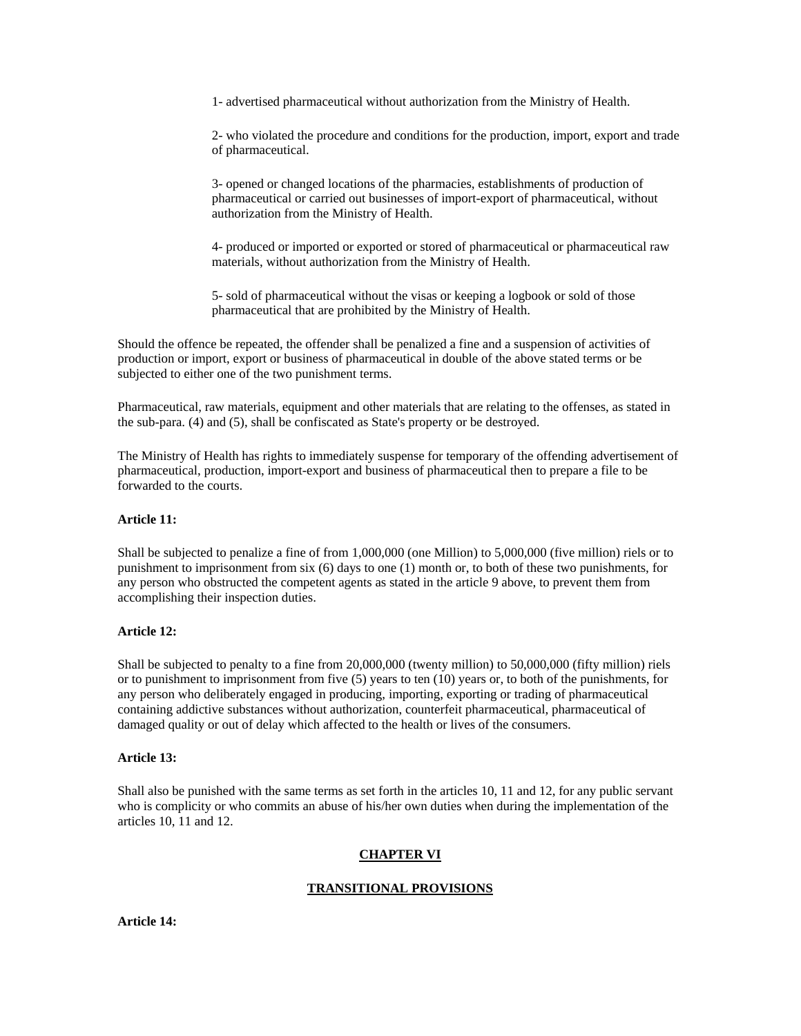1- advertised pharmaceutical without authorization from the Ministry of Health.

2- who violated the procedure and conditions for the production, import, export and trade of pharmaceutical.

3- opened or changed locations of the pharmacies, establishments of production of pharmaceutical or carried out businesses of import-export of pharmaceutical, without authorization from the Ministry of Health.

4- produced or imported or exported or stored of pharmaceutical or pharmaceutical raw materials, without authorization from the Ministry of Health.

5- sold of pharmaceutical without the visas or keeping a logbook or sold of those pharmaceutical that are prohibited by the Ministry of Health.

Should the offence be repeated, the offender shall be penalized a fine and a suspension of activities of production or import, export or business of pharmaceutical in double of the above stated terms or be subjected to either one of the two punishment terms.

Pharmaceutical, raw materials, equipment and other materials that are relating to the offenses, as stated in the sub-para. (4) and (5), shall be confiscated as State's property or be destroyed.

The Ministry of Health has rights to immediately suspense for temporary of the offending advertisement of pharmaceutical, production, import-export and business of pharmaceutical then to prepare a file to be forwarded to the courts.

### **Article 11:**

Shall be subjected to penalize a fine of from 1,000,000 (one Million) to 5,000,000 (five million) riels or to punishment to imprisonment from six (6) days to one (1) month or, to both of these two punishments, for any person who obstructed the competent agents as stated in the article 9 above, to prevent them from accomplishing their inspection duties.

#### **Article 12:**

Shall be subjected to penalty to a fine from 20,000,000 (twenty million) to 50,000,000 (fifty million) riels or to punishment to imprisonment from five (5) years to ten (10) years or, to both of the punishments, for any person who deliberately engaged in producing, importing, exporting or trading of pharmaceutical containing addictive substances without authorization, counterfeit pharmaceutical, pharmaceutical of damaged quality or out of delay which affected to the health or lives of the consumers.

#### **Article 13:**

Shall also be punished with the same terms as set forth in the articles 10, 11 and 12, for any public servant who is complicity or who commits an abuse of his/her own duties when during the implementation of the articles 10, 11 and 12.

#### **CHAPTER VI**

#### **TRANSITIONAL PROVISIONS**

**Article 14:**